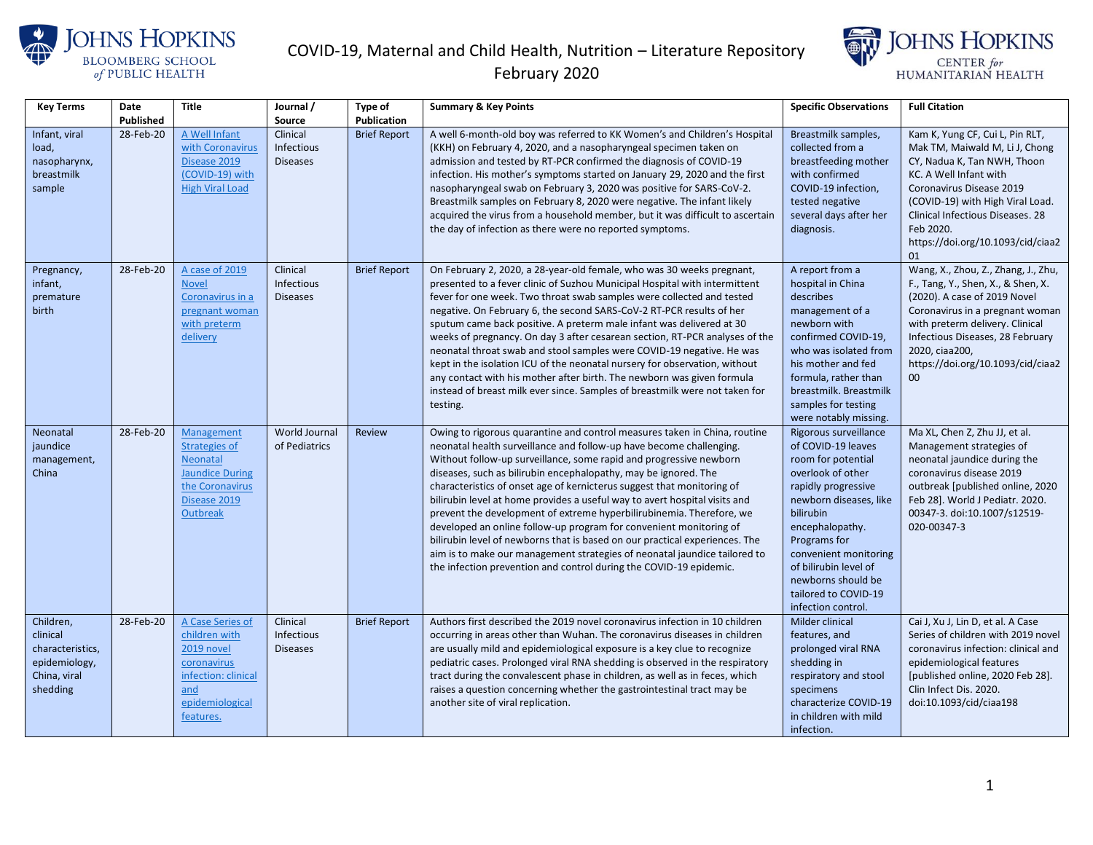



| <b>Key Terms</b>                                                                       | Date      | <b>Title</b>                                                                                                                 | Journal /                                 | Type of             | <b>Summary &amp; Key Points</b>                                                                                                                                                                                                                                                                                                                                                                                                                                                                                                                                                                                                                                                                                                                                                                                                   | <b>Specific Observations</b>                                                                                                                                                                                                                                                                                 | <b>Full Citation</b>                                                                                                                                                                                                                                                                   |
|----------------------------------------------------------------------------------------|-----------|------------------------------------------------------------------------------------------------------------------------------|-------------------------------------------|---------------------|-----------------------------------------------------------------------------------------------------------------------------------------------------------------------------------------------------------------------------------------------------------------------------------------------------------------------------------------------------------------------------------------------------------------------------------------------------------------------------------------------------------------------------------------------------------------------------------------------------------------------------------------------------------------------------------------------------------------------------------------------------------------------------------------------------------------------------------|--------------------------------------------------------------------------------------------------------------------------------------------------------------------------------------------------------------------------------------------------------------------------------------------------------------|----------------------------------------------------------------------------------------------------------------------------------------------------------------------------------------------------------------------------------------------------------------------------------------|
|                                                                                        | Published |                                                                                                                              | Source                                    | Publication         |                                                                                                                                                                                                                                                                                                                                                                                                                                                                                                                                                                                                                                                                                                                                                                                                                                   |                                                                                                                                                                                                                                                                                                              |                                                                                                                                                                                                                                                                                        |
| Infant, viral<br>load,<br>nasopharynx,<br>breastmilk<br>sample                         | 28-Feb-20 | A Well Infant<br>with Coronavirus<br>Disease 2019<br>(COVID-19) with<br><b>High Viral Load</b>                               | Clinical<br>Infectious<br><b>Diseases</b> | <b>Brief Report</b> | A well 6-month-old boy was referred to KK Women's and Children's Hospital<br>(KKH) on February 4, 2020, and a nasopharyngeal specimen taken on<br>admission and tested by RT-PCR confirmed the diagnosis of COVID-19<br>infection. His mother's symptoms started on January 29, 2020 and the first<br>nasopharyngeal swab on February 3, 2020 was positive for SARS-CoV-2.<br>Breastmilk samples on February 8, 2020 were negative. The infant likely<br>acquired the virus from a household member, but it was difficult to ascertain<br>the day of infection as there were no reported symptoms.                                                                                                                                                                                                                                | Breastmilk samples,<br>collected from a<br>breastfeeding mother<br>with confirmed<br>COVID-19 infection,<br>tested negative<br>several days after her<br>diagnosis.                                                                                                                                          | Kam K, Yung CF, Cui L, Pin RLT,<br>Mak TM, Maiwald M, Li J, Chong<br>CY, Nadua K, Tan NWH, Thoon<br>KC. A Well Infant with<br>Coronavirus Disease 2019<br>(COVID-19) with High Viral Load.<br>Clinical Infectious Diseases. 28<br>Feb 2020.<br>https://doi.org/10.1093/cid/ciaa2<br>01 |
| Pregnancy,<br>infant,<br>premature<br>birth                                            | 28-Feb-20 | A case of 2019<br><b>Novel</b><br>Coronavirus in a<br>pregnant woman<br>with preterm<br>delivery                             | Clinical<br>Infectious<br><b>Diseases</b> | <b>Brief Report</b> | On February 2, 2020, a 28-year-old female, who was 30 weeks pregnant,<br>presented to a fever clinic of Suzhou Municipal Hospital with intermittent<br>fever for one week. Two throat swab samples were collected and tested<br>negative. On February 6, the second SARS-CoV-2 RT-PCR results of her<br>sputum came back positive. A preterm male infant was delivered at 30<br>weeks of pregnancy. On day 3 after cesarean section, RT-PCR analyses of the<br>neonatal throat swab and stool samples were COVID-19 negative. He was<br>kept in the isolation ICU of the neonatal nursery for observation, without<br>any contact with his mother after birth. The newborn was given formula<br>instead of breast milk ever since. Samples of breastmilk were not taken for<br>testing.                                           | A report from a<br>hospital in China<br>describes<br>management of a<br>newborn with<br>confirmed COVID-19,<br>who was isolated from<br>his mother and fed<br>formula, rather than<br>breastmilk. Breastmilk<br>samples for testing<br>were notably missing.                                                 | Wang, X., Zhou, Z., Zhang, J., Zhu,<br>F., Tang, Y., Shen, X., & Shen, X.<br>(2020). A case of 2019 Novel<br>Coronavirus in a pregnant woman<br>with preterm delivery. Clinical<br>Infectious Diseases, 28 February<br>2020, ciaa200,<br>https://doi.org/10.1093/cid/ciaa2<br>00       |
| Neonatal<br>jaundice<br>management,<br>China                                           | 28-Feb-20 | Management<br>Strategies of<br>Neonatal<br><b>Jaundice During</b><br>the Coronavirus<br>Disease 2019<br>Outbreak             | <b>World Journal</b><br>of Pediatrics     | Review              | Owing to rigorous quarantine and control measures taken in China, routine<br>neonatal health surveillance and follow-up have become challenging.<br>Without follow-up surveillance, some rapid and progressive newborn<br>diseases, such as bilirubin encephalopathy, may be ignored. The<br>characteristics of onset age of kernicterus suggest that monitoring of<br>bilirubin level at home provides a useful way to avert hospital visits and<br>prevent the development of extreme hyperbilirubinemia. Therefore, we<br>developed an online follow-up program for convenient monitoring of<br>bilirubin level of newborns that is based on our practical experiences. The<br>aim is to make our management strategies of neonatal jaundice tailored to<br>the infection prevention and control during the COVID-19 epidemic. | Rigorous surveillance<br>of COVID-19 leaves<br>room for potential<br>overlook of other<br>rapidly progressive<br>newborn diseases, like<br>bilirubin<br>encephalopathy.<br>Programs for<br>convenient monitoring<br>of bilirubin level of<br>newborns should be<br>tailored to COVID-19<br>infection control | Ma XL, Chen Z, Zhu JJ, et al.<br>Management strategies of<br>neonatal jaundice during the<br>coronavirus disease 2019<br>outbreak [published online, 2020<br>Feb 28]. World J Pediatr. 2020.<br>00347-3. doi:10.1007/s12519-<br>020-00347-3                                            |
| Children,<br>clinical<br>characteristics,<br>epidemiology,<br>China, viral<br>shedding | 28-Feb-20 | A Case Series of<br>children with<br>2019 novel<br>coronavirus<br>infection: clinical<br>and<br>epidemiological<br>features. | Clinical<br>Infectious<br><b>Diseases</b> | <b>Brief Report</b> | Authors first described the 2019 novel coronavirus infection in 10 children<br>occurring in areas other than Wuhan. The coronavirus diseases in children<br>are usually mild and epidemiological exposure is a key clue to recognize<br>pediatric cases. Prolonged viral RNA shedding is observed in the respiratory<br>tract during the convalescent phase in children, as well as in feces, which<br>raises a question concerning whether the gastrointestinal tract may be<br>another site of viral replication.                                                                                                                                                                                                                                                                                                               | Milder clinical<br>features, and<br>prolonged viral RNA<br>shedding in<br>respiratory and stool<br>specimens<br>characterize COVID-19<br>in children with mild<br>infection.                                                                                                                                 | Cai J, Xu J, Lin D, et al. A Case<br>Series of children with 2019 novel<br>coronavirus infection: clinical and<br>epidemiological features<br>[published online, 2020 Feb 28].<br>Clin Infect Dis. 2020.<br>doi:10.1093/cid/ciaa198                                                    |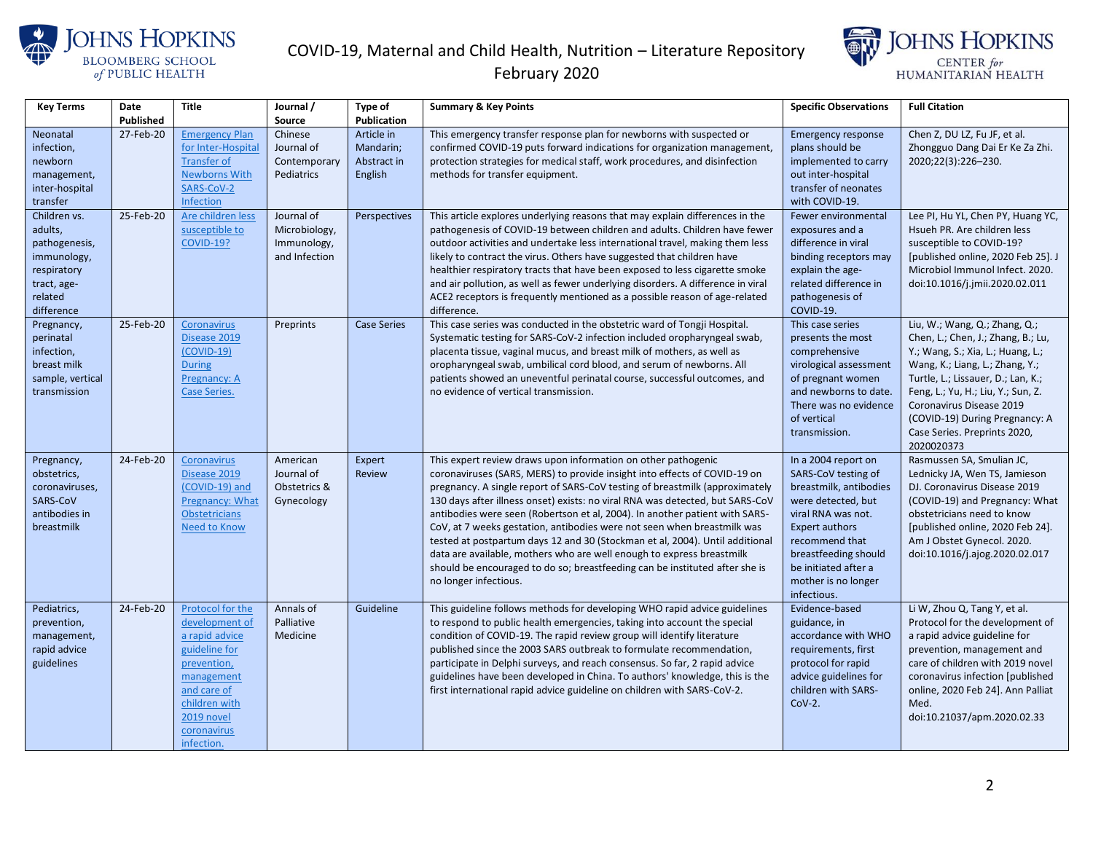



| <b>Key Terms</b>                                                                                               | Date      | <b>Title</b>                                                                                                                                                                  | Journal /                                                   | Type of                                           | <b>Summary &amp; Key Points</b>                                                                                                                                                                                                                                                                                                                                                                                                                                                                                                                                                                                                                                                                                                       | <b>Specific Observations</b>                                                                                                                                                                                                                      | <b>Full Citation</b>                                                                                                                                                                                                                                                                                                                |
|----------------------------------------------------------------------------------------------------------------|-----------|-------------------------------------------------------------------------------------------------------------------------------------------------------------------------------|-------------------------------------------------------------|---------------------------------------------------|---------------------------------------------------------------------------------------------------------------------------------------------------------------------------------------------------------------------------------------------------------------------------------------------------------------------------------------------------------------------------------------------------------------------------------------------------------------------------------------------------------------------------------------------------------------------------------------------------------------------------------------------------------------------------------------------------------------------------------------|---------------------------------------------------------------------------------------------------------------------------------------------------------------------------------------------------------------------------------------------------|-------------------------------------------------------------------------------------------------------------------------------------------------------------------------------------------------------------------------------------------------------------------------------------------------------------------------------------|
|                                                                                                                | Published |                                                                                                                                                                               | Source                                                      | Publication                                       |                                                                                                                                                                                                                                                                                                                                                                                                                                                                                                                                                                                                                                                                                                                                       |                                                                                                                                                                                                                                                   |                                                                                                                                                                                                                                                                                                                                     |
| Neonatal<br>infection,<br>newborn<br>management,<br>inter-hospital<br>transfer                                 | 27-Feb-20 | <b>Emergency Plan</b><br>for Inter-Hospital<br><b>Transfer of</b><br><b>Newborns With</b><br>SARS-CoV-2<br>Infection                                                          | Chinese<br>Journal of<br>Contemporary<br>Pediatrics         | Article in<br>Mandarin;<br>Abstract in<br>English | This emergency transfer response plan for newborns with suspected or<br>confirmed COVID-19 puts forward indications for organization management,<br>protection strategies for medical staff, work procedures, and disinfection<br>methods for transfer equipment.                                                                                                                                                                                                                                                                                                                                                                                                                                                                     | <b>Emergency response</b><br>plans should be<br>implemented to carry<br>out inter-hospital<br>transfer of neonates<br>with COVID-19.                                                                                                              | Chen Z, DU LZ, Fu JF, et al.<br>Zhongguo Dang Dai Er Ke Za Zhi.<br>2020;22(3):226-230.                                                                                                                                                                                                                                              |
| Children vs.<br>adults,<br>pathogenesis,<br>immunology,<br>respiratory<br>tract, age-<br>related<br>difference | 25-Feb-20 | Are children less<br>susceptible to<br><b>COVID-19?</b>                                                                                                                       | Journal of<br>Microbiology,<br>Immunology,<br>and Infection | Perspectives                                      | This article explores underlying reasons that may explain differences in the<br>pathogenesis of COVID-19 between children and adults. Children have fewer<br>outdoor activities and undertake less international travel, making them less<br>likely to contract the virus. Others have suggested that children have<br>healthier respiratory tracts that have been exposed to less cigarette smoke<br>and air pollution, as well as fewer underlying disorders. A difference in viral<br>ACE2 receptors is frequently mentioned as a possible reason of age-related<br>difference.                                                                                                                                                    | Fewer environmental<br>exposures and a<br>difference in viral<br>binding receptors may<br>explain the age-<br>related difference in<br>pathogenesis of<br>COVID-19.                                                                               | Lee PI, Hu YL, Chen PY, Huang YC,<br>Hsueh PR. Are children less<br>susceptible to COVID-19?<br>[published online, 2020 Feb 25]. J<br>Microbiol Immunol Infect. 2020.<br>doi:10.1016/j.jmii.2020.02.011                                                                                                                             |
| Pregnancy,<br>perinatal<br>infection,<br>breast milk<br>sample, vertical<br>transmission                       | 25-Feb-20 | Coronavirus<br>Disease 2019<br>$(COVID-19)$<br><b>During</b><br>Pregnancy: A<br>Case Series.                                                                                  | Preprints                                                   | <b>Case Series</b>                                | This case series was conducted in the obstetric ward of Tongji Hospital.<br>Systematic testing for SARS-CoV-2 infection included oropharyngeal swab,<br>placenta tissue, vaginal mucus, and breast milk of mothers, as well as<br>oropharyngeal swab, umbilical cord blood, and serum of newborns. All<br>patients showed an uneventful perinatal course, successful outcomes, and<br>no evidence of vertical transmission.                                                                                                                                                                                                                                                                                                           | This case series<br>presents the most<br>comprehensive<br>virological assessment<br>of pregnant women<br>and newborns to date.<br>There was no evidence<br>of vertical<br>transmission.                                                           | Liu, W.; Wang, Q.; Zhang, Q.;<br>Chen, L.; Chen, J.; Zhang, B.; Lu,<br>Y.; Wang, S.; Xia, L.; Huang, L.;<br>Wang, K.; Liang, L.; Zhang, Y.;<br>Turtle, L.; Lissauer, D.; Lan, K.;<br>Feng, L.; Yu, H.; Liu, Y.; Sun, Z.<br>Coronavirus Disease 2019<br>(COVID-19) During Pregnancy: A<br>Case Series. Preprints 2020,<br>2020020373 |
| Pregnancy,<br>obstetrics,<br>coronaviruses,<br>SARS-CoV<br>antibodies in<br>breastmilk                         | 24-Feb-20 | Coronavirus<br>Disease 2019<br>(COVID-19) and<br>Pregnancy: What<br><b>Obstetricians</b><br>Need to Know                                                                      | American<br>Journal of<br>Obstetrics &<br>Gynecology        | Expert<br>Review                                  | This expert review draws upon information on other pathogenic<br>coronaviruses (SARS, MERS) to provide insight into effects of COVID-19 on<br>pregnancy. A single report of SARS-CoV testing of breastmilk (approximately<br>130 days after illness onset) exists: no viral RNA was detected, but SARS-CoV<br>antibodies were seen (Robertson et al, 2004). In another patient with SARS-<br>CoV, at 7 weeks gestation, antibodies were not seen when breastmilk was<br>tested at postpartum days 12 and 30 (Stockman et al, 2004). Until additional<br>data are available, mothers who are well enough to express breastmilk<br>should be encouraged to do so; breastfeeding can be instituted after she is<br>no longer infectious. | In a 2004 report on<br>SARS-CoV testing of<br>breastmilk, antibodies<br>were detected, but<br>viral RNA was not.<br><b>Expert authors</b><br>recommend that<br>breastfeeding should<br>be initiated after a<br>mother is no longer<br>infectious. | Rasmussen SA, Smulian JC,<br>Lednicky JA, Wen TS, Jamieson<br>DJ. Coronavirus Disease 2019<br>(COVID-19) and Pregnancy: What<br>obstetricians need to know<br>[published online, 2020 Feb 24].<br>Am J Obstet Gynecol. 2020.<br>doi:10.1016/j.ajog.2020.02.017                                                                      |
| Pediatrics,<br>prevention,<br>management,<br>rapid advice<br>guidelines                                        | 24-Feb-20 | Protocol for the<br>development of<br>a rapid advice<br>guideline for<br>prevention,<br>management<br>and care of<br>children with<br>2019 novel<br>coronavirus<br>infection. | Annals of<br>Palliative<br>Medicine                         | Guideline                                         | This guideline follows methods for developing WHO rapid advice guidelines<br>to respond to public health emergencies, taking into account the special<br>condition of COVID-19. The rapid review group will identify literature<br>published since the 2003 SARS outbreak to formulate recommendation,<br>participate in Delphi surveys, and reach consensus. So far, 2 rapid advice<br>guidelines have been developed in China. To authors' knowledge, this is the<br>first international rapid advice guideline on children with SARS-CoV-2.                                                                                                                                                                                        | Evidence-based<br>guidance, in<br>accordance with WHO<br>requirements, first<br>protocol for rapid<br>advice guidelines for<br>children with SARS-<br>$Cov-2.$                                                                                    | Li W, Zhou Q, Tang Y, et al.<br>Protocol for the development of<br>a rapid advice guideline for<br>prevention, management and<br>care of children with 2019 novel<br>coronavirus infection [published<br>online, 2020 Feb 24]. Ann Palliat<br>Med.<br>doi:10.21037/apm.2020.02.33                                                   |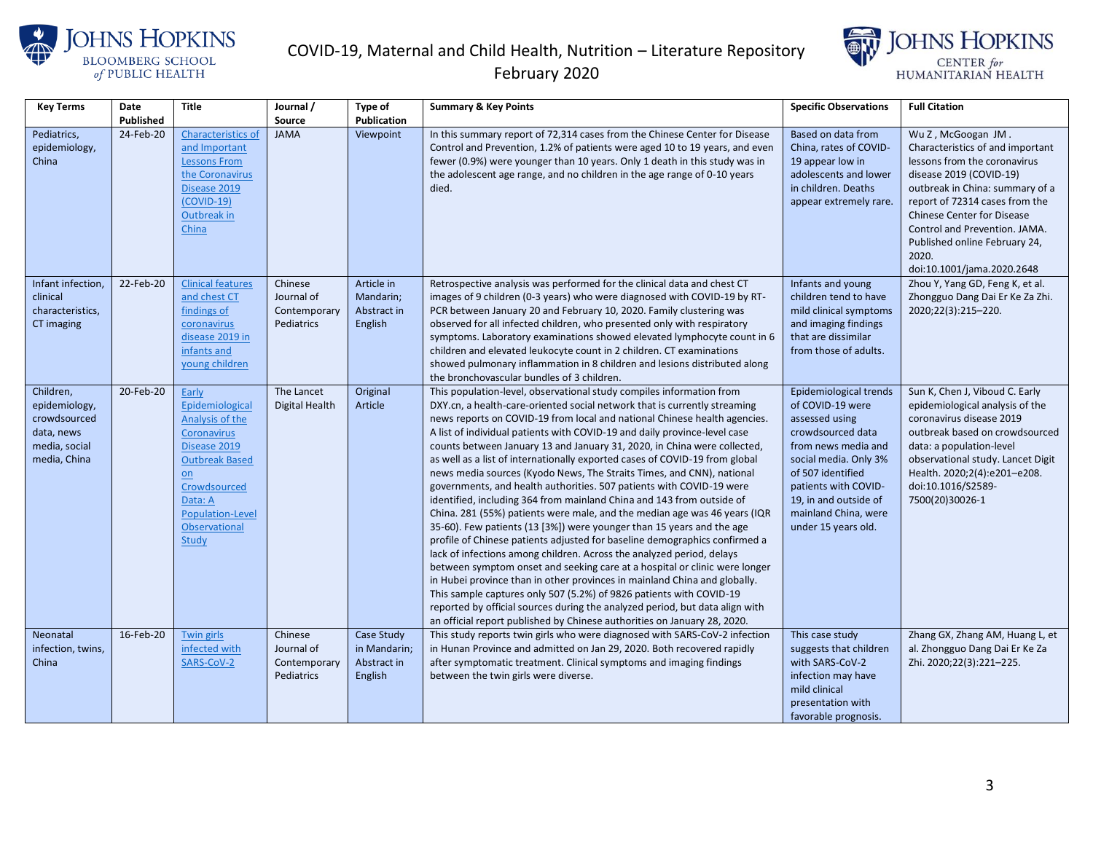



| <b>Key Terms</b>                                                                          | Date<br>Published | Title                                                                                                                                                                                                                   | Journal /<br>Source                                 | <b>Type of</b><br>Publication                        | <b>Summary &amp; Key Points</b>                                                                                                                                                                                                                                                                                                                                                                                                                                                                                                                                                                                                                                                                                                                                                                                                                                                                                                                                                                                                                                                                                                                                                                                                                                                                                                                                                                             | <b>Specific Observations</b>                                                                                                                                                                                                                           | <b>Full Citation</b>                                                                                                                                                                                                                                                                                                                 |
|-------------------------------------------------------------------------------------------|-------------------|-------------------------------------------------------------------------------------------------------------------------------------------------------------------------------------------------------------------------|-----------------------------------------------------|------------------------------------------------------|-------------------------------------------------------------------------------------------------------------------------------------------------------------------------------------------------------------------------------------------------------------------------------------------------------------------------------------------------------------------------------------------------------------------------------------------------------------------------------------------------------------------------------------------------------------------------------------------------------------------------------------------------------------------------------------------------------------------------------------------------------------------------------------------------------------------------------------------------------------------------------------------------------------------------------------------------------------------------------------------------------------------------------------------------------------------------------------------------------------------------------------------------------------------------------------------------------------------------------------------------------------------------------------------------------------------------------------------------------------------------------------------------------------|--------------------------------------------------------------------------------------------------------------------------------------------------------------------------------------------------------------------------------------------------------|--------------------------------------------------------------------------------------------------------------------------------------------------------------------------------------------------------------------------------------------------------------------------------------------------------------------------------------|
| Pediatrics,<br>epidemiology,<br>China                                                     | 24-Feb-20         | Characteristics of<br>and Important<br><b>Lessons From</b><br>the Coronavirus<br>Disease 2019<br>$(COVID-19)$<br>Outbreak in<br>China                                                                                   | <b>JAMA</b>                                         | Viewpoint                                            | In this summary report of 72,314 cases from the Chinese Center for Disease<br>Control and Prevention, 1.2% of patients were aged 10 to 19 years, and even<br>fewer (0.9%) were younger than 10 years. Only 1 death in this study was in<br>the adolescent age range, and no children in the age range of 0-10 years<br>died.                                                                                                                                                                                                                                                                                                                                                                                                                                                                                                                                                                                                                                                                                                                                                                                                                                                                                                                                                                                                                                                                                | Based on data from<br>China, rates of COVID-<br>19 appear low in<br>adolescents and lower<br>in children. Deaths<br>appear extremely rare.                                                                                                             | Wu Z, McGoogan JM.<br>Characteristics of and important<br>lessons from the coronavirus<br>disease 2019 (COVID-19)<br>outbreak in China: summary of a<br>report of 72314 cases from the<br><b>Chinese Center for Disease</b><br>Control and Prevention. JAMA.<br>Published online February 24,<br>2020.<br>doi:10.1001/jama.2020.2648 |
| Infant infection,<br>clinical<br>characteristics,<br>CT imaging                           | 22-Feb-20         | <b>Clinical features</b><br>and chest CT<br>findings of<br>coronavirus<br>disease 2019 in<br>infants and<br>voung children                                                                                              | Chinese<br>Journal of<br>Contemporary<br>Pediatrics | Article in<br>Mandarin;<br>Abstract in<br>English    | Retrospective analysis was performed for the clinical data and chest CT<br>images of 9 children (0-3 years) who were diagnosed with COVID-19 by RT-<br>PCR between January 20 and February 10, 2020. Family clustering was<br>observed for all infected children, who presented only with respiratory<br>symptoms. Laboratory examinations showed elevated lymphocyte count in 6<br>children and elevated leukocyte count in 2 children. CT examinations<br>showed pulmonary inflammation in 8 children and lesions distributed along<br>the bronchovascular bundles of 3 children.                                                                                                                                                                                                                                                                                                                                                                                                                                                                                                                                                                                                                                                                                                                                                                                                                         | Infants and young<br>children tend to have<br>mild clinical symptoms<br>and imaging findings<br>that are dissimilar<br>from those of adults.                                                                                                           | Zhou Y, Yang GD, Feng K, et al.<br>Zhongguo Dang Dai Er Ke Za Zhi.<br>2020;22(3):215-220.                                                                                                                                                                                                                                            |
| Children,<br>epidemiology,<br>crowdsourced<br>data, news<br>media, social<br>media, China | 20-Feb-20         | Early<br>Epidemiological<br>Analysis of the<br><b>Coronavirus</b><br>Disease 2019<br><b>Outbreak Based</b><br>$\underline{\mathsf{on}}$<br>Crowdsourced<br>Data: A<br>Population-Level<br><b>Observational</b><br>Study | The Lancet<br>Digital Health                        | Original<br>Article                                  | This population-level, observational study compiles information from<br>DXY.cn, a health-care-oriented social network that is currently streaming<br>news reports on COVID-19 from local and national Chinese health agencies.<br>A list of individual patients with COVID-19 and daily province-level case<br>counts between January 13 and January 31, 2020, in China were collected,<br>as well as a list of internationally exported cases of COVID-19 from global<br>news media sources (Kyodo News, The Straits Times, and CNN), national<br>governments, and health authorities. 507 patients with COVID-19 were<br>identified, including 364 from mainland China and 143 from outside of<br>China. 281 (55%) patients were male, and the median age was 46 years (IQR<br>35-60). Few patients (13 [3%]) were younger than 15 years and the age<br>profile of Chinese patients adjusted for baseline demographics confirmed a<br>lack of infections among children. Across the analyzed period, delays<br>between symptom onset and seeking care at a hospital or clinic were longer<br>in Hubei province than in other provinces in mainland China and globally.<br>This sample captures only 507 (5.2%) of 9826 patients with COVID-19<br>reported by official sources during the analyzed period, but data align with<br>an official report published by Chinese authorities on January 28, 2020. | Epidemiological trends<br>of COVID-19 were<br>assessed using<br>crowdsourced data<br>from news media and<br>social media. Only 3%<br>of 507 identified<br>patients with COVID-<br>19, in and outside of<br>mainland China, were<br>under 15 years old. | Sun K, Chen J, Viboud C. Early<br>epidemiological analysis of the<br>coronavirus disease 2019<br>outbreak based on crowdsourced<br>data: a population-level<br>observational study. Lancet Digit<br>Health. 2020;2(4):e201-e208.<br>doi:10.1016/S2589-<br>7500(20)30026-1                                                            |
| Neonatal<br>infection, twins,<br>China                                                    | 16-Feb-20         | Twin girls<br>infected with<br>SARS-CoV-2                                                                                                                                                                               | Chinese<br>Journal of<br>Contemporary<br>Pediatrics | Case Study<br>in Mandarin;<br>Abstract in<br>English | This study reports twin girls who were diagnosed with SARS-CoV-2 infection<br>in Hunan Province and admitted on Jan 29, 2020. Both recovered rapidly<br>after symptomatic treatment. Clinical symptoms and imaging findings<br>between the twin girls were diverse.                                                                                                                                                                                                                                                                                                                                                                                                                                                                                                                                                                                                                                                                                                                                                                                                                                                                                                                                                                                                                                                                                                                                         | This case study<br>suggests that children<br>with SARS-CoV-2<br>infection may have<br>mild clinical<br>presentation with<br>favorable prognosis.                                                                                                       | Zhang GX, Zhang AM, Huang L, et<br>al. Zhongguo Dang Dai Er Ke Za<br>Zhi. 2020;22(3):221-225.                                                                                                                                                                                                                                        |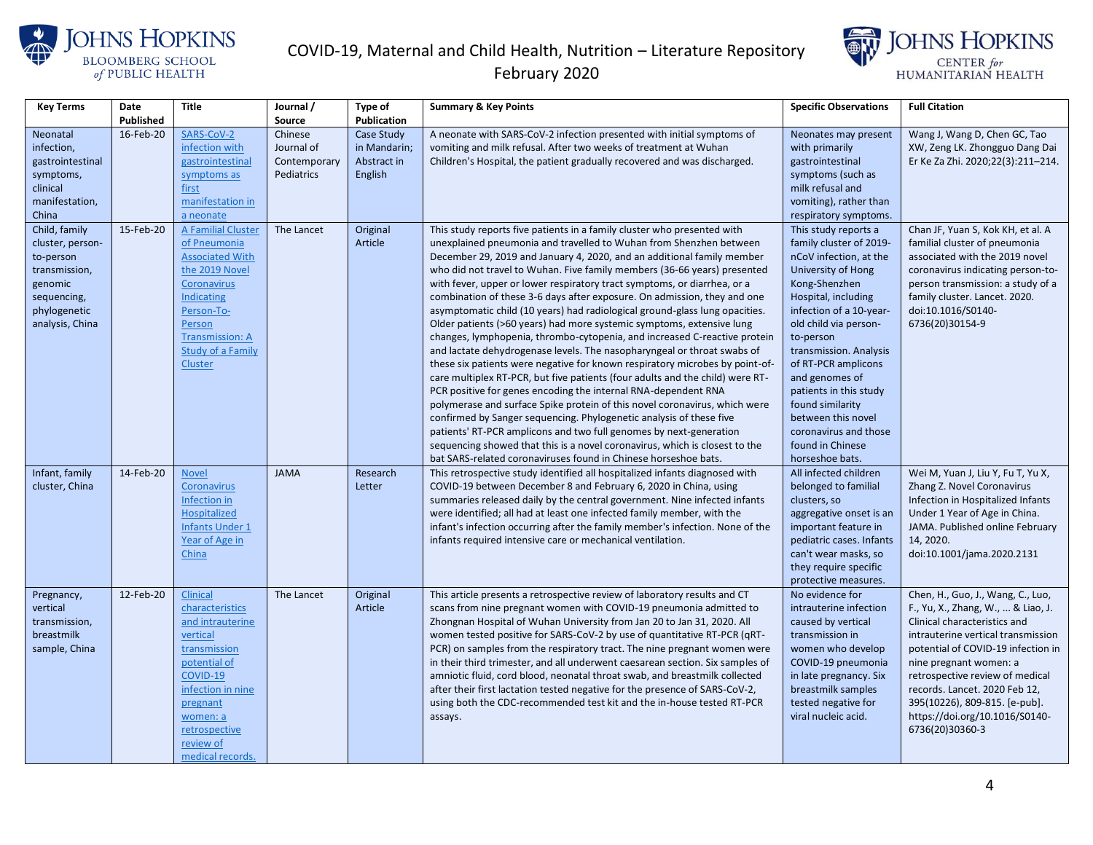



| <b>Key Terms</b>                                                                                                             | Date      | <b>Title</b>                                                                                                                                                                                                | Journal /                                           | Type of                                              | <b>Summary &amp; Key Points</b>                                                                                                                                                                                                                                                                                                                                                                                                                                                                                                                                                                                                                                                                                                                                                                                                                                                                                                                                                                                                                                                                                                                                                                                                                                                                                                                                                             | <b>Specific Observations</b>                                                                                                                                                                                                                                                                                                                                                                                    | <b>Full Citation</b>                                                                                                                                                                                                                                                                                                                                                    |
|------------------------------------------------------------------------------------------------------------------------------|-----------|-------------------------------------------------------------------------------------------------------------------------------------------------------------------------------------------------------------|-----------------------------------------------------|------------------------------------------------------|---------------------------------------------------------------------------------------------------------------------------------------------------------------------------------------------------------------------------------------------------------------------------------------------------------------------------------------------------------------------------------------------------------------------------------------------------------------------------------------------------------------------------------------------------------------------------------------------------------------------------------------------------------------------------------------------------------------------------------------------------------------------------------------------------------------------------------------------------------------------------------------------------------------------------------------------------------------------------------------------------------------------------------------------------------------------------------------------------------------------------------------------------------------------------------------------------------------------------------------------------------------------------------------------------------------------------------------------------------------------------------------------|-----------------------------------------------------------------------------------------------------------------------------------------------------------------------------------------------------------------------------------------------------------------------------------------------------------------------------------------------------------------------------------------------------------------|-------------------------------------------------------------------------------------------------------------------------------------------------------------------------------------------------------------------------------------------------------------------------------------------------------------------------------------------------------------------------|
|                                                                                                                              | Published |                                                                                                                                                                                                             | Source                                              | <b>Publication</b>                                   |                                                                                                                                                                                                                                                                                                                                                                                                                                                                                                                                                                                                                                                                                                                                                                                                                                                                                                                                                                                                                                                                                                                                                                                                                                                                                                                                                                                             |                                                                                                                                                                                                                                                                                                                                                                                                                 |                                                                                                                                                                                                                                                                                                                                                                         |
| Neonatal<br>infection,<br>gastrointestinal<br>symptoms,<br>clinical<br>manifestation,                                        | 16-Feb-20 | SARS-CoV-2<br>infection with<br>gastrointestinal<br>symptoms as<br>first<br>manifestation in                                                                                                                | Chinese<br>Journal of<br>Contemporary<br>Pediatrics | Case Study<br>in Mandarin;<br>Abstract in<br>English | A neonate with SARS-CoV-2 infection presented with initial symptoms of<br>vomiting and milk refusal. After two weeks of treatment at Wuhan<br>Children's Hospital, the patient gradually recovered and was discharged.                                                                                                                                                                                                                                                                                                                                                                                                                                                                                                                                                                                                                                                                                                                                                                                                                                                                                                                                                                                                                                                                                                                                                                      | Neonates may present<br>with primarily<br>gastrointestinal<br>symptoms (such as<br>milk refusal and<br>vomiting), rather than                                                                                                                                                                                                                                                                                   | Wang J, Wang D, Chen GC, Tao<br>XW, Zeng LK. Zhongguo Dang Dai<br>Er Ke Za Zhi. 2020;22(3):211-214.                                                                                                                                                                                                                                                                     |
| China                                                                                                                        |           | a neonate                                                                                                                                                                                                   |                                                     |                                                      |                                                                                                                                                                                                                                                                                                                                                                                                                                                                                                                                                                                                                                                                                                                                                                                                                                                                                                                                                                                                                                                                                                                                                                                                                                                                                                                                                                                             | respiratory symptoms.                                                                                                                                                                                                                                                                                                                                                                                           |                                                                                                                                                                                                                                                                                                                                                                         |
| Child, family<br>cluster, person-<br>to-person<br>transmission,<br>genomic<br>sequencing,<br>phylogenetic<br>analysis, China | 15-Feb-20 | A Familial Cluster<br>of Pneumonia<br><b>Associated With</b><br>the 2019 Novel<br>Coronavirus<br>Indicating<br>Person-To-<br>Person<br><b>Transmission: A</b><br><b>Study of a Family</b><br><b>Cluster</b> | The Lancet                                          | Original<br>Article                                  | This study reports five patients in a family cluster who presented with<br>unexplained pneumonia and travelled to Wuhan from Shenzhen between<br>December 29, 2019 and January 4, 2020, and an additional family member<br>who did not travel to Wuhan. Five family members (36-66 years) presented<br>with fever, upper or lower respiratory tract symptoms, or diarrhea, or a<br>combination of these 3-6 days after exposure. On admission, they and one<br>asymptomatic child (10 years) had radiological ground-glass lung opacities.<br>Older patients (>60 years) had more systemic symptoms, extensive lung<br>changes, lymphopenia, thrombo-cytopenia, and increased C-reactive protein<br>and lactate dehydrogenase levels. The nasopharyngeal or throat swabs of<br>these six patients were negative for known respiratory microbes by point-of-<br>care multiplex RT-PCR, but five patients (four adults and the child) were RT-<br>PCR positive for genes encoding the internal RNA-dependent RNA<br>polymerase and surface Spike protein of this novel coronavirus, which were<br>confirmed by Sanger sequencing. Phylogenetic analysis of these five<br>patients' RT-PCR amplicons and two full genomes by next-generation<br>sequencing showed that this is a novel coronavirus, which is closest to the<br>bat SARS-related coronaviruses found in Chinese horseshoe bats. | This study reports a<br>family cluster of 2019-<br>nCoV infection, at the<br>University of Hong<br>Kong-Shenzhen<br>Hospital, including<br>infection of a 10-year-<br>old child via person-<br>to-person<br>transmission. Analysis<br>of RT-PCR amplicons<br>and genomes of<br>patients in this study<br>found similarity<br>between this novel<br>coronavirus and those<br>found in Chinese<br>horseshoe bats. | Chan JF, Yuan S, Kok KH, et al. A<br>familial cluster of pneumonia<br>associated with the 2019 novel<br>coronavirus indicating person-to-<br>person transmission: a study of a<br>family cluster. Lancet. 2020.<br>doi:10.1016/S0140-<br>6736(20)30154-9                                                                                                                |
| Infant, family<br>cluster, China                                                                                             | 14-Feb-20 | <b>Novel</b><br><b>Coronavirus</b><br>Infection in<br>Hospitalized<br><b>Infants Under 1</b><br>Year of Age in<br>China                                                                                     | <b>JAMA</b>                                         | Research<br>Letter                                   | This retrospective study identified all hospitalized infants diagnosed with<br>COVID-19 between December 8 and February 6, 2020 in China, using<br>summaries released daily by the central government. Nine infected infants<br>were identified; all had at least one infected family member, with the<br>infant's infection occurring after the family member's infection. None of the<br>infants required intensive care or mechanical ventilation.                                                                                                                                                                                                                                                                                                                                                                                                                                                                                                                                                                                                                                                                                                                                                                                                                                                                                                                                       | All infected children<br>belonged to familial<br>clusters, so<br>aggregative onset is an<br>important feature in<br>pediatric cases. Infants<br>can't wear masks, so<br>they require specific<br>protective measures.                                                                                                                                                                                           | Wei M, Yuan J, Liu Y, Fu T, Yu X,<br>Zhang Z. Novel Coronavirus<br>Infection in Hospitalized Infants<br>Under 1 Year of Age in China.<br>JAMA. Published online February<br>14, 2020.<br>doi:10.1001/jama.2020.2131                                                                                                                                                     |
| Pregnancy,<br>vertical<br>transmission,<br>breastmilk<br>sample, China                                                       | 12-Feb-20 | Clinical<br>characteristics<br>and intrauterine<br>vertical<br>transmission<br>potential of<br>COVID-19<br>infection in nine<br>pregnant<br>women: a<br>retrospective<br>review of<br>medical records.      | The Lancet                                          | Original<br>Article                                  | This article presents a retrospective review of laboratory results and CT<br>scans from nine pregnant women with COVID-19 pneumonia admitted to<br>Zhongnan Hospital of Wuhan University from Jan 20 to Jan 31, 2020. All<br>women tested positive for SARS-CoV-2 by use of quantitative RT-PCR (qRT-<br>PCR) on samples from the respiratory tract. The nine pregnant women were<br>in their third trimester, and all underwent caesarean section. Six samples of<br>amniotic fluid, cord blood, neonatal throat swab, and breastmilk collected<br>after their first lactation tested negative for the presence of SARS-CoV-2,<br>using both the CDC-recommended test kit and the in-house tested RT-PCR<br>assays.                                                                                                                                                                                                                                                                                                                                                                                                                                                                                                                                                                                                                                                                        | No evidence for<br>intrauterine infection<br>caused by vertical<br>transmission in<br>women who develop<br>COVID-19 pneumonia<br>in late pregnancy. Six<br>breastmilk samples<br>tested negative for<br>viral nucleic acid.                                                                                                                                                                                     | Chen, H., Guo, J., Wang, C., Luo,<br>F., Yu, X., Zhang, W.,  & Liao, J.<br>Clinical characteristics and<br>intrauterine vertical transmission<br>potential of COVID-19 infection in<br>nine pregnant women: a<br>retrospective review of medical<br>records. Lancet. 2020 Feb 12,<br>395(10226), 809-815. [e-pub].<br>https://doi.org/10.1016/S0140-<br>6736(20)30360-3 |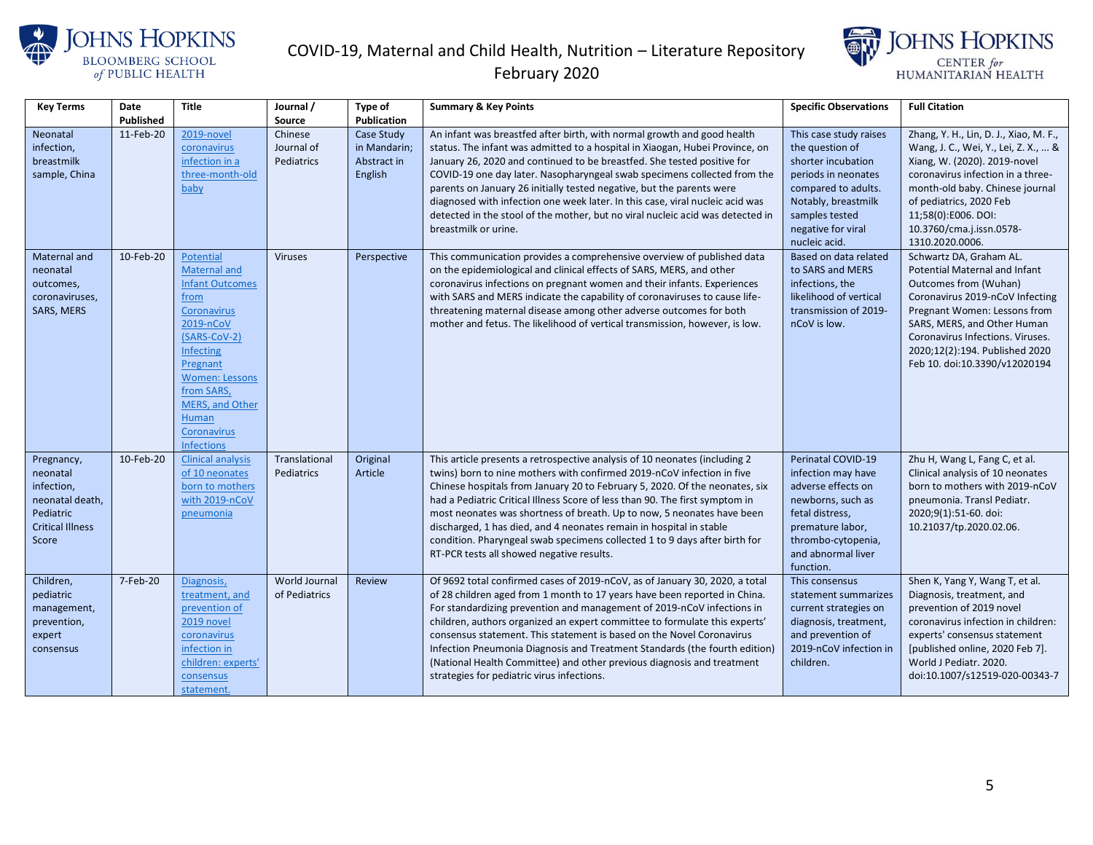



| <b>Key Terms</b>        | Date             | <b>Title</b>                         | Journal /      | Type of            | <b>Summary &amp; Key Points</b>                                                                        | <b>Specific Observations</b>         | <b>Full Citation</b>                            |
|-------------------------|------------------|--------------------------------------|----------------|--------------------|--------------------------------------------------------------------------------------------------------|--------------------------------------|-------------------------------------------------|
|                         | <b>Published</b> |                                      | Source         | <b>Publication</b> |                                                                                                        |                                      |                                                 |
| Neonatal                | 11-Feb-20        | 2019-novel                           | Chinese        | Case Study         | An infant was breastfed after birth, with normal growth and good health                                | This case study raises               | Zhang, Y. H., Lin, D. J., Xiao, M. F.,          |
| infection,              |                  | coronavirus                          | Journal of     | in Mandarin;       | status. The infant was admitted to a hospital in Xiaogan, Hubei Province, on                           | the question of                      | Wang, J. C., Wei, Y., Lei, Z. X.,  &            |
| breastmilk              |                  | infection in a                       | Pediatrics     | Abstract in        | January 26, 2020 and continued to be breastfed. She tested positive for                                | shorter incubation                   | Xiang, W. (2020). 2019-novel                    |
| sample, China           |                  | three-month-old                      |                | English            | COVID-19 one day later. Nasopharyngeal swab specimens collected from the                               | periods in neonates                  | coronavirus infection in a three-               |
|                         |                  | baby                                 |                |                    | parents on January 26 initially tested negative, but the parents were                                  | compared to adults.                  | month-old baby. Chinese journal                 |
|                         |                  |                                      |                |                    | diagnosed with infection one week later. In this case, viral nucleic acid was                          | Notably, breastmilk                  | of pediatrics, 2020 Feb                         |
|                         |                  |                                      |                |                    | detected in the stool of the mother, but no viral nucleic acid was detected in<br>breastmilk or urine. | samples tested<br>negative for viral | 11;58(0):E006. DOI:<br>10.3760/cma.j.issn.0578- |
|                         |                  |                                      |                |                    |                                                                                                        | nucleic acid.                        | 1310.2020.0006.                                 |
| Maternal and            | 10-Feb-20        | Potential                            | <b>Viruses</b> | Perspective        | This communication provides a comprehensive overview of published data                                 | Based on data related                | Schwartz DA, Graham AL.                         |
| neonatal                |                  | Maternal and                         |                |                    | on the epidemiological and clinical effects of SARS, MERS, and other                                   | to SARS and MERS                     | Potential Maternal and Infant                   |
| outcomes,               |                  | <b>Infant Outcomes</b>               |                |                    | coronavirus infections on pregnant women and their infants. Experiences                                | infections, the                      | Outcomes from (Wuhan)                           |
| coronaviruses,          |                  | from                                 |                |                    | with SARS and MERS indicate the capability of coronaviruses to cause life-                             | likelihood of vertical               | Coronavirus 2019-nCoV Infecting                 |
| <b>SARS, MERS</b>       |                  | <b>Coronavirus</b>                   |                |                    | threatening maternal disease among other adverse outcomes for both                                     | transmission of 2019-                | Pregnant Women: Lessons from                    |
|                         |                  | 2019-nCoV                            |                |                    | mother and fetus. The likelihood of vertical transmission, however, is low.                            | nCoV is low.                         | SARS, MERS, and Other Human                     |
|                         |                  | (SARS-CoV-2)                         |                |                    |                                                                                                        |                                      | Coronavirus Infections. Viruses.                |
|                         |                  | Infecting                            |                |                    |                                                                                                        |                                      | 2020;12(2):194. Published 2020                  |
|                         |                  | Pregnant                             |                |                    |                                                                                                        |                                      | Feb 10. doi:10.3390/v12020194                   |
|                         |                  | <b>Women: Lessons</b>                |                |                    |                                                                                                        |                                      |                                                 |
|                         |                  | from SARS,<br><b>MERS, and Other</b> |                |                    |                                                                                                        |                                      |                                                 |
|                         |                  | Human                                |                |                    |                                                                                                        |                                      |                                                 |
|                         |                  | Coronavirus                          |                |                    |                                                                                                        |                                      |                                                 |
|                         |                  | <b>Infections</b>                    |                |                    |                                                                                                        |                                      |                                                 |
| Pregnancy,              | 10-Feb-20        | <b>Clinical analysis</b>             | Translational  | Original           | This article presents a retrospective analysis of 10 neonates (including 2                             | Perinatal COVID-19                   | Zhu H, Wang L, Fang C, et al.                   |
| neonatal                |                  | of 10 neonates                       | Pediatrics     | Article            | twins) born to nine mothers with confirmed 2019-nCoV infection in five                                 | infection may have                   | Clinical analysis of 10 neonates                |
| infection,              |                  | born to mothers                      |                |                    | Chinese hospitals from January 20 to February 5, 2020. Of the neonates, six                            | adverse effects on                   | born to mothers with 2019-nCoV                  |
| neonatal death,         |                  | with 2019-nCoV                       |                |                    | had a Pediatric Critical Illness Score of less than 90. The first symptom in                           | newborns, such as                    | pneumonia. Transl Pediatr.                      |
| Pediatric               |                  | pneumonia                            |                |                    | most neonates was shortness of breath. Up to now, 5 neonates have been                                 | fetal distress,                      | 2020;9(1):51-60. doi:                           |
| <b>Critical Illness</b> |                  |                                      |                |                    | discharged, 1 has died, and 4 neonates remain in hospital in stable                                    | premature labor,                     | 10.21037/tp.2020.02.06.                         |
| Score                   |                  |                                      |                |                    | condition. Pharyngeal swab specimens collected 1 to 9 days after birth for                             | thrombo-cytopenia,                   |                                                 |
|                         |                  |                                      |                |                    | RT-PCR tests all showed negative results.                                                              | and abnormal liver                   |                                                 |
| Children,               | 7-Feb-20         | Diagnosis,                           | World Journal  | <b>Review</b>      | Of 9692 total confirmed cases of 2019-nCoV, as of January 30, 2020, a total                            | function.<br>This consensus          | Shen K, Yang Y, Wang T, et al.                  |
| pediatric               |                  | treatment, and                       | of Pediatrics  |                    | of 28 children aged from 1 month to 17 years have been reported in China.                              | statement summarizes                 | Diagnosis, treatment, and                       |
| management,             |                  | prevention of                        |                |                    | For standardizing prevention and management of 2019-nCoV infections in                                 | current strategies on                | prevention of 2019 novel                        |
| prevention,             |                  | 2019 novel                           |                |                    | children, authors organized an expert committee to formulate this experts'                             | diagnosis, treatment,                | coronavirus infection in children:              |
| expert                  |                  | coronavirus                          |                |                    | consensus statement. This statement is based on the Novel Coronavirus                                  | and prevention of                    | experts' consensus statement                    |
| consensus               |                  | infection in                         |                |                    | Infection Pneumonia Diagnosis and Treatment Standards (the fourth edition)                             | 2019-nCoV infection in               | [published online, 2020 Feb 7].                 |
|                         |                  | children: experts'                   |                |                    | (National Health Committee) and other previous diagnosis and treatment                                 | children.                            | World J Pediatr. 2020.                          |
|                         |                  | consensus                            |                |                    | strategies for pediatric virus infections.                                                             |                                      | doi:10.1007/s12519-020-00343-7                  |
|                         |                  | statement.                           |                |                    |                                                                                                        |                                      |                                                 |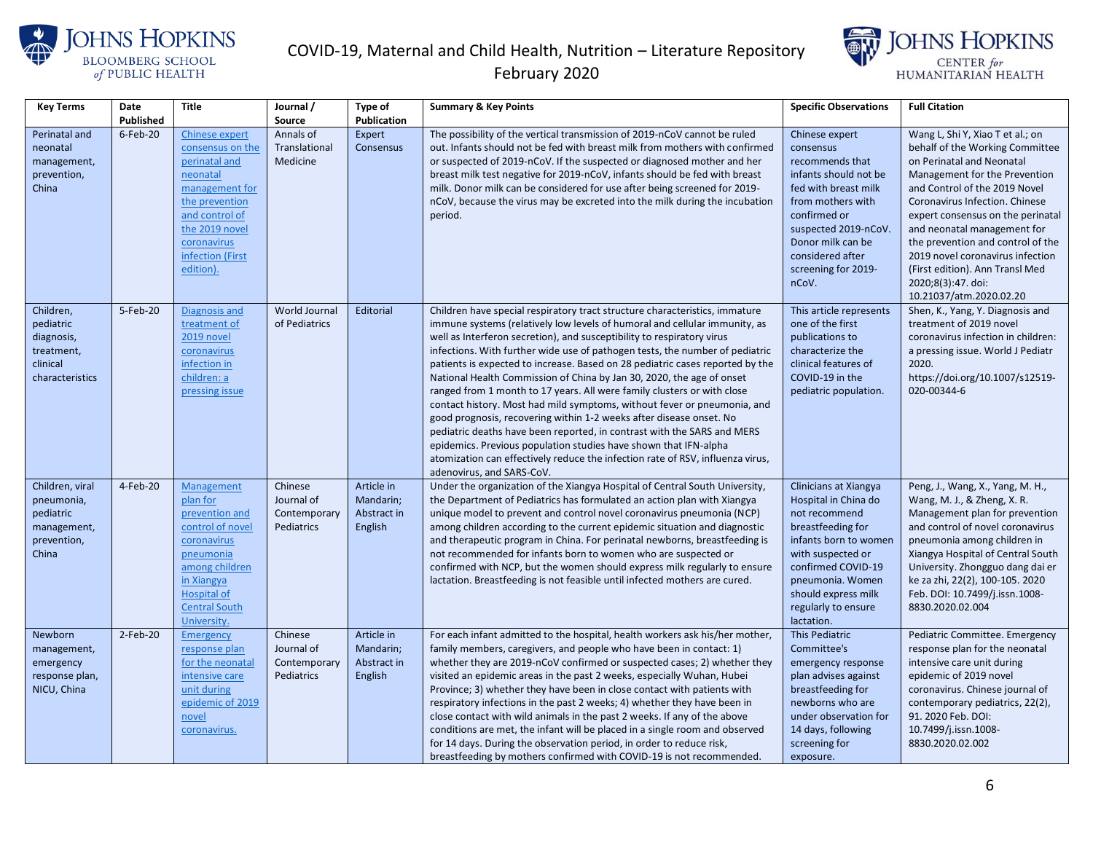



| <b>Key Terms</b>                                                                  | Date      | <b>Title</b>                                                                                                                                                                                   | Journal /                                           | Type of                                           | <b>Summary &amp; Key Points</b>                                                                                                                                                                                                                                                                                                                                                                                                                                                                                                                                                                                                                                                                                                                                                                                                                                                                                                                                           | <b>Specific Observations</b>                                                                                                                                                                                                            | <b>Full Citation</b>                                                                                                                                                                                                                                                                                                                                                                                                                  |
|-----------------------------------------------------------------------------------|-----------|------------------------------------------------------------------------------------------------------------------------------------------------------------------------------------------------|-----------------------------------------------------|---------------------------------------------------|---------------------------------------------------------------------------------------------------------------------------------------------------------------------------------------------------------------------------------------------------------------------------------------------------------------------------------------------------------------------------------------------------------------------------------------------------------------------------------------------------------------------------------------------------------------------------------------------------------------------------------------------------------------------------------------------------------------------------------------------------------------------------------------------------------------------------------------------------------------------------------------------------------------------------------------------------------------------------|-----------------------------------------------------------------------------------------------------------------------------------------------------------------------------------------------------------------------------------------|---------------------------------------------------------------------------------------------------------------------------------------------------------------------------------------------------------------------------------------------------------------------------------------------------------------------------------------------------------------------------------------------------------------------------------------|
|                                                                                   | Published |                                                                                                                                                                                                | Source                                              | <b>Publication</b>                                |                                                                                                                                                                                                                                                                                                                                                                                                                                                                                                                                                                                                                                                                                                                                                                                                                                                                                                                                                                           |                                                                                                                                                                                                                                         |                                                                                                                                                                                                                                                                                                                                                                                                                                       |
| Perinatal and<br>neonatal<br>management,<br>prevention,<br>China                  | 6-Feb-20  | <b>Chinese expert</b><br>consensus on the<br>perinatal and<br>neonatal<br>management for<br>the prevention<br>and control of<br>the 2019 novel<br>coronavirus<br>infection (First<br>edition). | Annals of<br>Translational<br>Medicine              | Expert<br>Consensus                               | The possibility of the vertical transmission of 2019-nCoV cannot be ruled<br>out. Infants should not be fed with breast milk from mothers with confirmed<br>or suspected of 2019-nCoV. If the suspected or diagnosed mother and her<br>breast milk test negative for 2019-nCoV, infants should be fed with breast<br>milk. Donor milk can be considered for use after being screened for 2019-<br>nCoV, because the virus may be excreted into the milk during the incubation<br>period.                                                                                                                                                                                                                                                                                                                                                                                                                                                                                  | Chinese expert<br>consensus<br>recommends that<br>infants should not be<br>fed with breast milk<br>from mothers with<br>confirmed or<br>suspected 2019-nCoV.<br>Donor milk can be<br>considered after<br>screening for 2019-<br>nCoV.   | Wang L, Shi Y, Xiao T et al.; on<br>behalf of the Working Committee<br>on Perinatal and Neonatal<br>Management for the Prevention<br>and Control of the 2019 Novel<br>Coronavirus Infection. Chinese<br>expert consensus on the perinatal<br>and neonatal management for<br>the prevention and control of the<br>2019 novel coronavirus infection<br>(First edition). Ann Transl Med<br>2020;8(3):47. doi:<br>10.21037/atm.2020.02.20 |
| Children,<br>pediatric<br>diagnosis,<br>treatment,<br>clinical<br>characteristics | 5-Feb-20  | Diagnosis and<br>treatment of<br>2019 novel<br>coronavirus<br>infection in<br>children: a<br>pressing issue                                                                                    | World Journal<br>of Pediatrics                      | Editorial                                         | Children have special respiratory tract structure characteristics, immature<br>immune systems (relatively low levels of humoral and cellular immunity, as<br>well as Interferon secretion), and susceptibility to respiratory virus<br>infections. With further wide use of pathogen tests, the number of pediatric<br>patients is expected to increase. Based on 28 pediatric cases reported by the<br>National Health Commission of China by Jan 30, 2020, the age of onset<br>ranged from 1 month to 17 years. All were family clusters or with close<br>contact history. Most had mild symptoms, without fever or pneumonia, and<br>good prognosis, recovering within 1-2 weeks after disease onset. No<br>pediatric deaths have been reported, in contrast with the SARS and MERS<br>epidemics. Previous population studies have shown that IFN-alpha<br>atomization can effectively reduce the infection rate of RSV, influenza virus,<br>adenovirus, and SARS-CoV. | This article represents<br>one of the first<br>publications to<br>characterize the<br>clinical features of<br>COVID-19 in the<br>pediatric population.                                                                                  | Shen, K., Yang, Y. Diagnosis and<br>treatment of 2019 novel<br>coronavirus infection in children:<br>a pressing issue. World J Pediatr<br>2020.<br>https://doi.org/10.1007/s12519-<br>020-00344-6                                                                                                                                                                                                                                     |
| Children, viral<br>pneumonia,<br>pediatric<br>management,<br>prevention,<br>China | 4-Feb-20  | Management<br>plan for<br>prevention and<br>control of novel<br>coronavirus<br>pneumonia<br>among children<br>in Xiangya<br><b>Hospital of</b><br><b>Central South</b><br>University.          | Chinese<br>Journal of<br>Contemporary<br>Pediatrics | Article in<br>Mandarin;<br>Abstract in<br>English | Under the organization of the Xiangya Hospital of Central South University,<br>the Department of Pediatrics has formulated an action plan with Xiangya<br>unique model to prevent and control novel coronavirus pneumonia (NCP)<br>among children according to the current epidemic situation and diagnostic<br>and therapeutic program in China. For perinatal newborns, breastfeeding is<br>not recommended for infants born to women who are suspected or<br>confirmed with NCP, but the women should express milk regularly to ensure<br>lactation. Breastfeeding is not feasible until infected mothers are cured.                                                                                                                                                                                                                                                                                                                                                   | Clinicians at Xiangya<br>Hospital in China do<br>not recommend<br>breastfeeding for<br>infants born to womer<br>with suspected or<br>confirmed COVID-19<br>pneumonia. Women<br>should express milk<br>regularly to ensure<br>lactation. | Peng, J., Wang, X., Yang, M. H.,<br>Wang, M. J., & Zheng, X. R.<br>Management plan for prevention<br>and control of novel coronavirus<br>pneumonia among children in<br>Xiangya Hospital of Central South<br>University. Zhongguo dang dai er<br>ke za zhi, 22(2), 100-105. 2020<br>Feb. DOI: 10.7499/j.issn.1008-<br>8830.2020.02.004                                                                                                |
| Newborn<br>management,<br>emergency<br>response plan,<br>NICU, China              | 2-Feb-20  | Emergency<br>response plan<br>for the neonatal<br>intensive care<br>unit during<br>epidemic of 2019<br>novel<br>coronavirus.                                                                   | Chinese<br>Journal of<br>Contemporary<br>Pediatrics | Article in<br>Mandarin;<br>Abstract in<br>English | For each infant admitted to the hospital, health workers ask his/her mother,<br>family members, caregivers, and people who have been in contact: 1)<br>whether they are 2019-nCoV confirmed or suspected cases; 2) whether they<br>visited an epidemic areas in the past 2 weeks, especially Wuhan, Hubei<br>Province; 3) whether they have been in close contact with patients with<br>respiratory infections in the past 2 weeks; 4) whether they have been in<br>close contact with wild animals in the past 2 weeks. If any of the above<br>conditions are met, the infant will be placed in a single room and observed<br>for 14 days. During the observation period, in order to reduce risk,<br>breastfeeding by mothers confirmed with COVID-19 is not recommended.                                                                                                                                                                                               | This Pediatric<br>Committee's<br>emergency response<br>plan advises against<br>breastfeeding for<br>newborns who are<br>under observation for<br>14 days, following<br>screening for<br>exposure.                                       | Pediatric Committee. Emergency<br>response plan for the neonatal<br>intensive care unit during<br>epidemic of 2019 novel<br>coronavirus. Chinese journal of<br>contemporary pediatrics, 22(2),<br>91. 2020 Feb. DOI:<br>10.7499/j.issn.1008-<br>8830.2020.02.002                                                                                                                                                                      |